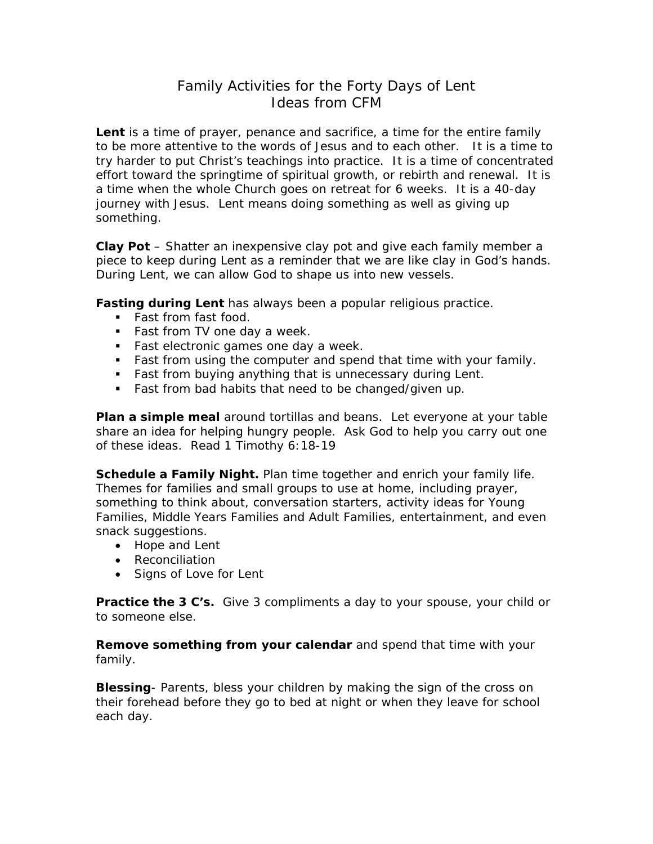## Family Activities for the Forty Days of Lent Ideas from CFM

**Lent** is a time of prayer, penance and sacrifice, a time for the entire family to be more attentive to the words of Jesus and to each other. It is a time to try harder to put Christ's teachings into practice. It is a time of concentrated effort toward the springtime of spiritual growth, or rebirth and renewal. It is a time when the whole Church goes on retreat for 6 weeks. It is a 40-day journey with Jesus. Lent means doing something as well as giving up something.

**Clay Pot** – Shatter an inexpensive clay pot and give each family member a piece to keep during Lent as a reminder that we are like clay in God's hands. During Lent, we can allow God to shape us into new vessels.

**Fasting during Lent** has always been a popular religious practice.

- Fast from fast food.
- **Fast from TV one day a week.**
- Fast electronic games one day a week.
- Fast from using the computer and spend that time with your family.
- **Fast from buying anything that is unnecessary during Lent.**
- Fast from bad habits that need to be changed/given up.

**Plan a simple meal** around tortillas and beans. Let everyone at your table share an idea for helping hungry people. Ask God to help you carry out one of these ideas. Read 1 Timothy 6:18-19

**Schedule a Family Night.** Plan time together and enrich your family life. Themes for families and small groups to use at home, including prayer, something to think about, conversation starters, activity ideas for Young Families, Middle Years Families and Adult Families, entertainment, and even snack suggestions.

- Hope and Lent
- Reconciliation
- Signs of Love for Lent

**Practice the 3 C's.** Give 3 compliments a day to your spouse, your child or to someone else.

**Remove something from your calendar** and spend that time with your family.

**Blessing**- Parents, bless your children by making the sign of the cross on their forehead before they go to bed at night or when they leave for school each day.